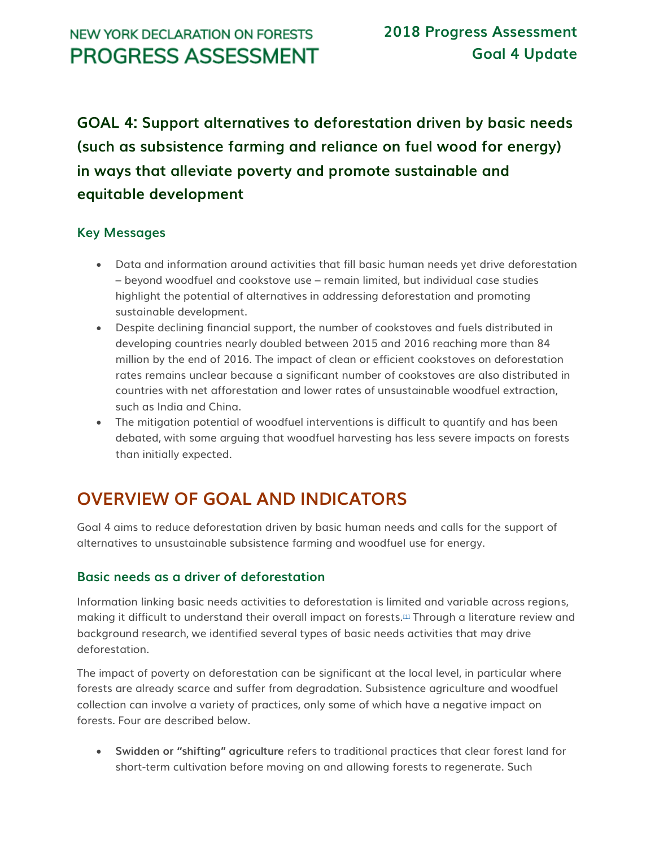## **NEW YORK DECLARATION ON FORESTS PROGRESS ASSESSMENT**

**GOAL 4: Support alternatives to deforestation driven by basic needs (such as subsistence farming and reliance on fuel wood for energy) in ways that alleviate poverty and promote sustainable and equitable development**

### **Key Messages**

- Data and information around activities that fill basic human needs yet drive deforestation – beyond woodfuel and cookstove use – remain limited, but individual case studies highlight the potential of alternatives in addressing deforestation and promoting sustainable development.
- Despite declining financial support, the number of cookstoves and fuels distributed in developing countries nearly doubled between 2015 and 2016 reaching more than 84 million by the end of 2016. The impact of clean or efficient cookstoves on deforestation rates remains unclear because a significant number of cookstoves are also distributed in countries with net afforestation and lower rates of unsustainable woodfuel extraction, such as India and China.
- The mitigation potential of woodfuel interventions is difficult to quantify and has been debated, with some arguing that woodfuel harvesting has less severe impacts on forests than initially expected.

# **OVERVIEW OF GOAL AND INDICATORS**

Goal 4 aims to reduce deforestation driven by basic human needs and calls for the support of alternatives to unsustainable subsistence farming and woodfuel use for energy.

#### **Basic needs as a driver of deforestation**

Information linking basic needs activities to deforestation is limited and variable across regions, making it difficult to understand their overall impact on forests.<sup>[\[1\]](http://forestdeclaration.org/goal/goal-4/#_edn1)</sup> Through a literature review and background research, we identified several types of basic needs activities that may drive deforestation.

The impact of poverty on deforestation can be significant at the local level, in particular where forests are already scarce and suffer from degradation. Subsistence agriculture and woodfuel collection can involve a variety of practices, only some of which have a negative impact on forests. Four are described below.

• **Swidden or "shifting" agriculture** refers to traditional practices that clear forest land for short-term cultivation before moving on and allowing forests to regenerate. Such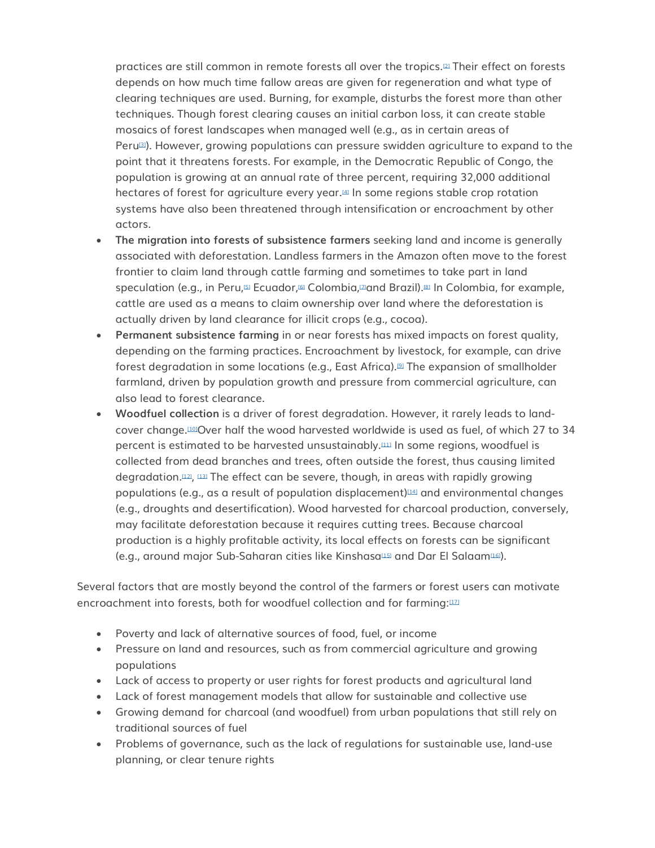practices are still common in remote forests all over the tropics.[\[2\]](http://forestdeclaration.org/goal/goal-4/#_edn2) Their effect on forests depends on how much time fallow areas are given for regeneration and what type of clearing techniques are used. Burning, for example, disturbs the forest more than other techniques. Though forest clearing causes an initial carbon loss, it can create stable mosaics of forest landscapes when managed well (e.g., as in certain areas of Peru[\[3\]](http://forestdeclaration.org/goal/goal-4/#_edn3)). However, growing populations can pressure swidden agriculture to expand to the point that it threatens forests. For example, in the Democratic Republic of Congo, the population is growing at an annual rate of three percent, requiring 32,000 additional hectares of forest for agriculture every year.[\[4\]](http://forestdeclaration.org/goal/goal-4/#_edn4) In some regions stable crop rotation systems have also been threatened through intensification or encroachment by other actors.

- **The migration into forests of subsistence farmers** seeking land and income is generally associated with deforestation. Landless farmers in the Amazon often move to the forest frontier to claim land through cattle farming and sometimes to take part in land speculation (e.g., in Peru,<sup>[\[5\]](http://forestdeclaration.org/goal/goal-4/#_edn5)</sup> Ecuador,<sup>[\[6\]](http://forestdeclaration.org/goal/goal-4/#_edn6)</sup> Colombia,<sup>[\[7\]](http://forestdeclaration.org/goal/goal-4/#_edn7)</sup>and Brazil).<sup>[\[8\]](http://forestdeclaration.org/goal/goal-4/#_edn8)</sup> In Colombia, for example, cattle are used as a means to claim ownership over land where the deforestation is actually driven by land clearance for illicit crops (e.g., cocoa).
- **Permanent subsistence farming** in or near forests has mixed impacts on forest quality, depending on the farming practices. Encroachment by livestock, for example, can drive forest degradation in some locations (e.g., East Africa).[\[9\]](http://forestdeclaration.org/goal/goal-4/#_edn9) The expansion of smallholder farmland, driven by population growth and pressure from commercial agriculture, can also lead to forest clearance.
- **Woodfuel collection** is a driver of forest degradation. However, it rarely leads to landcover change.[\[10\]](http://forestdeclaration.org/goal/goal-4/#_edn10)Over half the wood harvested worldwide is used as fuel, of which 27 to 34 percent is estimated to be harvested unsustainably.[\[11\]](http://forestdeclaration.org/goal/goal-4/#_edn11) In some regions, woodfuel is collected from dead branches and trees, often outside the forest, thus causing limited degradation.[\[12\]](http://forestdeclaration.org/goal/goal-4/#_edn12), [\[13\]](http://forestdeclaration.org/goal/goal-4/#_edn13) The effect can be severe, though, in areas with rapidly growing populations (e.g., as a result of population displacement) $[14]$  and environmental changes (e.g., droughts and desertification). Wood harvested for charcoal production, conversely, may facilitate deforestation because it requires cutting trees. Because charcoal production is a highly profitable activity, its local effects on forests can be significant (e.g., around major Sub-Saharan cities like Kinshasa[\[15\]](http://forestdeclaration.org/goal/goal-4/#_edn15) and Dar El Salaam[\[16\]](http://forestdeclaration.org/goal/goal-4/#_edn16)).

Several factors that are mostly beyond the control of the farmers or forest users can motivate encroachment into forests, both for woodfuel collection and for farming:[12]

- Poverty and lack of alternative sources of food, fuel, or income
- Pressure on land and resources, such as from commercial agriculture and growing populations
- Lack of access to property or user rights for forest products and agricultural land
- Lack of forest management models that allow for sustainable and collective use
- Growing demand for charcoal (and woodfuel) from urban populations that still rely on traditional sources of fuel
- Problems of governance, such as the lack of regulations for sustainable use, land-use planning, or clear tenure rights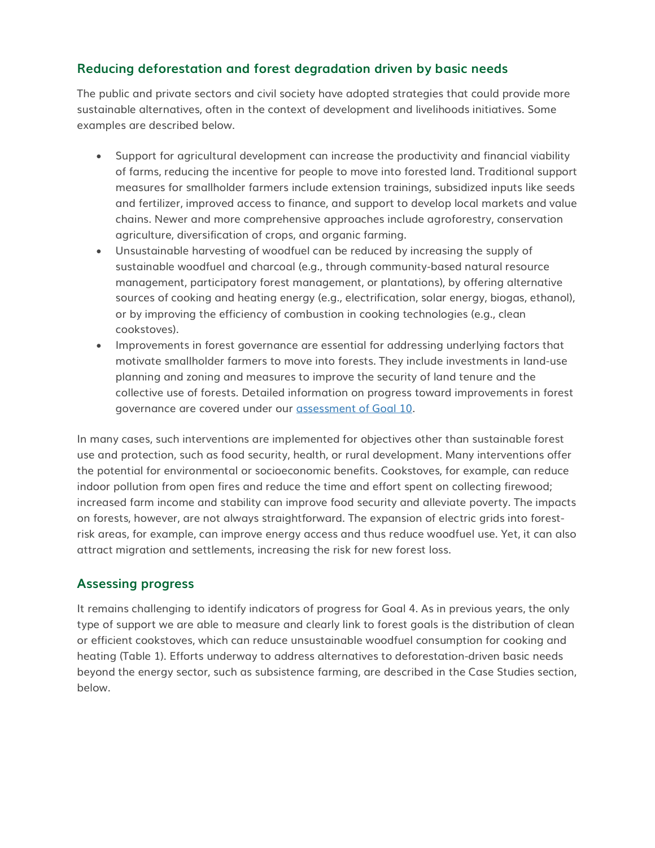### **Reducing deforestation and forest degradation driven by basic needs**

The public and private sectors and civil society have adopted strategies that could provide more sustainable alternatives, often in the context of development and livelihoods initiatives. Some examples are described below.

- Support for agricultural development can increase the productivity and financial viability of farms, reducing the incentive for people to move into forested land. Traditional support measures for smallholder farmers include extension trainings, subsidized inputs like seeds and fertilizer, improved access to finance, and support to develop local markets and value chains. Newer and more comprehensive approaches include agroforestry, conservation agriculture, diversification of crops, and organic farming.
- Unsustainable harvesting of woodfuel can be reduced by increasing the supply of sustainable woodfuel and charcoal (e.g., through community-based natural resource management, participatory forest management, or plantations), by offering alternative sources of cooking and heating energy (e.g., electrification, solar energy, biogas, ethanol), or by improving the efficiency of combustion in cooking technologies (e.g., clean cookstoves).
- Improvements in forest governance are essential for addressing underlying factors that motivate smallholder farmers to move into forests. They include investments in land-use planning and zoning and measures to improve the security of land tenure and the collective use of forests. Detailed information on progress toward improvements in forest governance are covered under our [assessment of Goal 10.](http://forestdeclaration.org/goal/goal-10/)

In many cases, such interventions are implemented for objectives other than sustainable forest use and protection, such as food security, health, or rural development. Many interventions offer the potential for environmental or socioeconomic benefits. Cookstoves, for example, can reduce indoor pollution from open fires and reduce the time and effort spent on collecting firewood; increased farm income and stability can improve food security and alleviate poverty. The impacts on forests, however, are not always straightforward. The expansion of electric grids into forestrisk areas, for example, can improve energy access and thus reduce woodfuel use. Yet, it can also attract migration and settlements, increasing the risk for new forest loss.

#### **Assessing progress**

It remains challenging to identify indicators of progress for Goal 4. As in previous years, the only type of support we are able to measure and clearly link to forest goals is the distribution of clean or efficient cookstoves, which can reduce unsustainable woodfuel consumption for cooking and heating (Table 1). Efforts underway to address alternatives to deforestation-driven basic needs beyond the energy sector, such as subsistence farming, are described in the Case Studies section, below.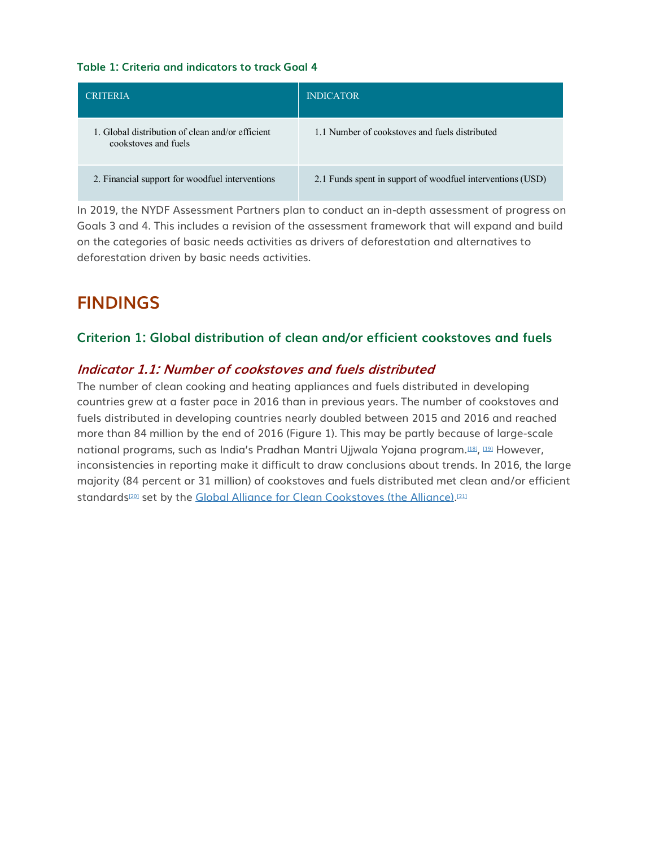#### **Table 1: Criteria and indicators to track Goal 4**

| <b>CRITERIA</b>                                                          | <b>INDICATOR</b>                                           |
|--------------------------------------------------------------------------|------------------------------------------------------------|
| 1. Global distribution of clean and/or efficient<br>cookstoves and fuels | 1.1 Number of cookstoves and fuels distributed             |
| 2. Financial support for woodfuel interventions                          | 2.1 Funds spent in support of woodfuel interventions (USD) |

In 2019, the NYDF Assessment Partners plan to conduct an in-depth assessment of progress on Goals 3 and 4. This includes a revision of the assessment framework that will expand and build on the categories of basic needs activities as drivers of deforestation and alternatives to deforestation driven by basic needs activities.

## **FINDINGS**

#### **Criterion 1: Global distribution of clean and/or efficient cookstoves and fuels**

#### **Indicator 1.1: Number of cookstoves and fuels distributed**

The number of clean cooking and heating appliances and fuels distributed in developing countries grew at a faster pace in 2016 than in previous years. The number of cookstoves and fuels distributed in developing countries nearly doubled between 2015 and 2016 and reached more than 84 million by the end of 2016 (Figure 1). This may be partly because of large-scale national programs, such as India's Pradhan Mantri Ujjwala Yojana program.¤¤, ¤® However, inconsistencies in reporting make it difficult to draw conclusions about trends. In 2016, the large majority (84 percent or 31 million) of cookstoves and fuels distributed met clean and/or efficient standards¤º set by the <u>[Global Alliance for Clean Cookstoves \(the Alliance\).](http://cleancookstoves.org/)</u>¤11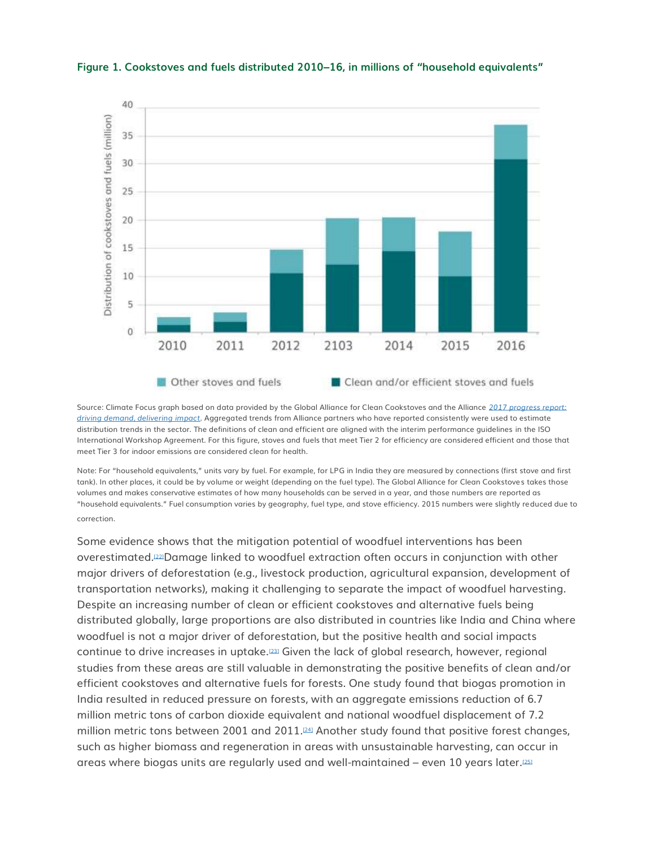

**Figure 1. Cookstoves and fuels distributed 2010–16, in millions of "household equivalents"**

Source: Climate Focus graph based on data provided by the Global Alliance for Clean Cookstoves and the Alliance *[2017 progress report:](https://cleancookstoves.org/binary-data/RESOURCE/file/000/000/536-1.pdf)  [driving demand, delivering impact](https://cleancookstoves.org/binary-data/RESOURCE/file/000/000/536-1.pdf)*. Aggregated trends from Alliance partners who have reported consistently were used to estimate distribution trends in the sector. The definitions of clean and efficient are aligned with the interim performance guidelines in the ISO International Workshop Agreement. For this figure, stoves and fuels that meet Tier 2 for efficiency are considered efficient and those that meet Tier 3 for indoor emissions are considered clean for health.

Note: For "household equivalents," units vary by fuel. For example, for LPG in India they are measured by connections (first stove and first tank). In other places, it could be by volume or weight (depending on the fuel type). The Global Alliance for Clean Cookstoves takes those volumes and makes conservative estimates of how many households can be served in a year, and those numbers are reported as "household equivalents." Fuel consumption varies by geography, fuel type, and stove efficiency. 2015 numbers were slightly reduced due to correction.

Some evidence shows that the mitigation potential of woodfuel interventions has been overestimated.[\[22\]](http://forestdeclaration.org/goal/goal-4/#_edn22)Damage linked to woodfuel extraction often occurs in conjunction with other major drivers of deforestation (e.g., livestock production, agricultural expansion, development of transportation networks), making it challenging to separate the impact of woodfuel harvesting. Despite an increasing number of clean or efficient cookstoves and alternative fuels being distributed globally, large proportions are also distributed in countries like India and China where woodfuel is not a major driver of deforestation, but the positive health and social impacts continue to drive increases in uptake.[\[23\]](http://forestdeclaration.org/goal/goal-4/#_edn23) Given the lack of global research, however, regional studies from these areas are still valuable in demonstrating the positive benefits of clean and/or efficient cookstoves and alternative fuels for forests. One study found that biogas promotion in India resulted in reduced pressure on forests, with an aggregate emissions reduction of 6.7 million metric tons of carbon dioxide equivalent and national woodfuel displacement of 7.2 million metric tons between 2001 and 2011. $\mathbb{P}^{24}$  Another study found that positive forest changes, such as higher biomass and regeneration in areas with unsustainable harvesting, can occur in areas where biogas units are regularly used and well-maintained – even 10 years later.[\[25\]](http://forestdeclaration.org/goal/goal-4/#_edn25)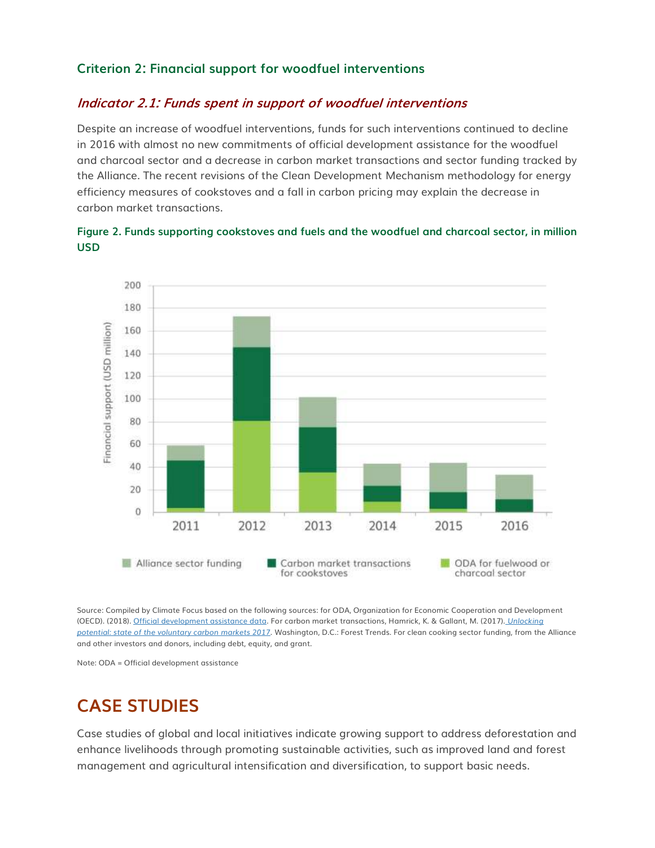#### **Criterion 2: Financial support for woodfuel interventions**

#### **Indicator 2.1: Funds spent in support of woodfuel interventions**

Despite an increase of woodfuel interventions, funds for such interventions continued to decline in 2016 with almost no new commitments of official development assistance for the woodfuel and charcoal sector and a decrease in carbon market transactions and sector funding tracked by the Alliance. The recent revisions of the Clean Development Mechanism methodology for energy efficiency measures of cookstoves and a fall in carbon pricing may explain the decrease in carbon market transactions.





Source: Compiled by Climate Focus based on the following sources: for ODA, Organization for Economic Cooperation and Development (OECD). (2018). [Official development assistance data.](https://stats.oecd.org/) For carbon market transactions, Hamrick, K. & Gallant, M. (2017). *[Unlocking](https://www.forest-trends.org/wp-content/uploads/2017/07/doc_5591.pdf)  potential: state of [the voluntary carbon markets 2017](https://www.forest-trends.org/wp-content/uploads/2017/07/doc_5591.pdf)*. Washington, D.C.: Forest Trends. For clean cooking sector funding, from the Alliance and other investors and donors, including debt, equity, and grant.

Note: ODA = Official development assistance

### **CASE STUDIES**

Case studies of global and local initiatives indicate growing support to address deforestation and enhance livelihoods through promoting sustainable activities, such as improved land and forest management and agricultural intensification and diversification, to support basic needs.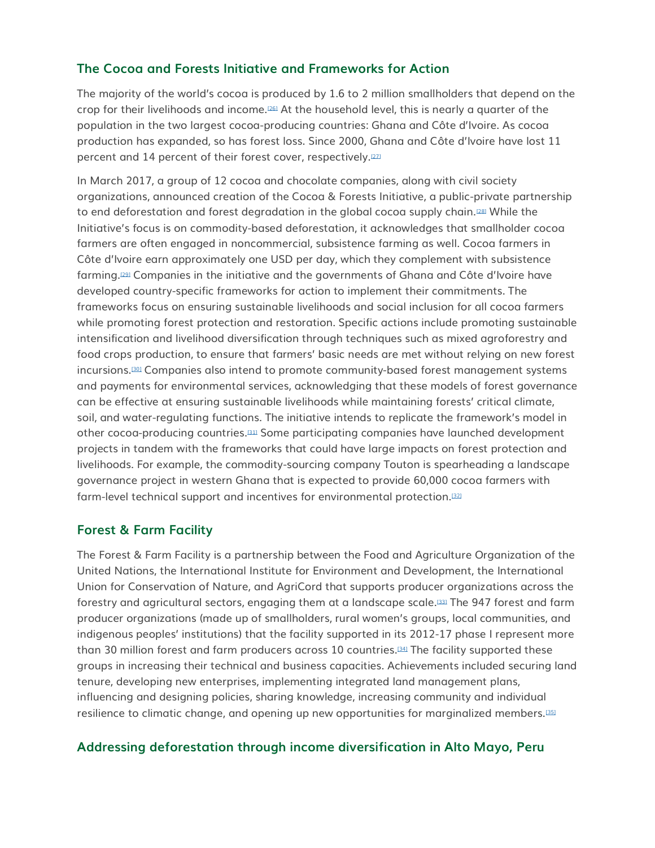#### **The Cocoa and Forests Initiative and Frameworks for Action**

The majority of the world's cocoa is produced by 1.6 to 2 million smallholders that depend on the crop for their livelihoods and income.<sup>[\[26\]](http://forestdeclaration.org/goal/goal-4/#_edn26)</sup> At the household level, this is nearly a quarter of the population in the two largest cocoa-producing countries: Ghana and Côte d'Ivoire. As cocoa production has expanded, so has forest loss. Since 2000, Ghana and Côte d'Ivoire have lost 11 percent and 14 percent of their forest cover, respectively.<sup>[\[27\]](http://forestdeclaration.org/goal/goal-4/#_edn27)</sup>

In March 2017, a group of 12 cocoa and chocolate companies, along with civil society organizations, announced creation of the Cocoa & Forests Initiative, a public-private partnership to end deforestation and forest degradation in the global cocoa supply chain.<sup>[\[28\]](http://forestdeclaration.org/goal/goal-4/#_edn28)</sup> While the Initiative's focus is on commodity-based deforestation, it acknowledges that smallholder cocoa farmers are often engaged in noncommercial, subsistence farming as well. Cocoa farmers in Côte d'Ivoire earn approximately one USD per day, which they complement with subsistence farming.[\[29\]](http://forestdeclaration.org/goal/goal-4/#_edn29) Companies in the initiative and the governments of Ghana and Côte d'Ivoire have developed country-specific frameworks for action to implement their commitments. The frameworks focus on ensuring sustainable livelihoods and social inclusion for all cocoa farmers while promoting forest protection and restoration. Specific actions include promoting sustainable intensification and livelihood diversification through techniques such as mixed agroforestry and food crops production, to ensure that farmers' basic needs are met without relying on new forest incursions.[\[30\]](http://forestdeclaration.org/goal/goal-4/#_edn30) Companies also intend to promote community-based forest management systems and payments for environmental services, acknowledging that these models of forest governance can be effective at ensuring sustainable livelihoods while maintaining forests' critical climate, soil, and water-regulating functions. The initiative intends to replicate the framework's model in other cocoa-producing countries.[\[31\]](http://forestdeclaration.org/goal/goal-4/#_edn31) Some participating companies have launched development projects in tandem with the frameworks that could have large impacts on forest protection and livelihoods. For example, the commodity-sourcing company Touton is spearheading a landscape governance project in western Ghana that is expected to provide 60,000 cocoa farmers with farm-level technical support and incentives for environmental protection.[\[32\]](http://forestdeclaration.org/goal/goal-4/#_edn32)

#### **Forest & Farm Facility**

The Forest & Farm Facility is a partnership between the Food and Agriculture Organization of the United Nations, the International Institute for Environment and Development, the International Union for Conservation of Nature, and AgriCord that supports producer organizations across the forestry and agricultural sectors, engaging them at a landscape scale.[\[33\]](http://forestdeclaration.org/goal/goal-4/#_edn33) The 947 forest and farm producer organizations (made up of smallholders, rural women's groups, local communities, and indigenous peoples' institutions) that the facility supported in its 2012-17 phase I represent more than 30 million forest and farm producers across 10 countries.[\[34\]](http://forestdeclaration.org/goal/goal-4/#_edn34) The facility supported these groups in increasing their technical and business capacities. Achievements included securing land tenure, developing new enterprises, implementing integrated land management plans, influencing and designing policies, sharing knowledge, increasing community and individual resilience to climatic change, and opening up new opportunities for marginalized members.[\[35\]](http://forestdeclaration.org/goal/goal-4/#_edn35)

#### **Addressing deforestation through income diversification in Alto Mayo, Peru**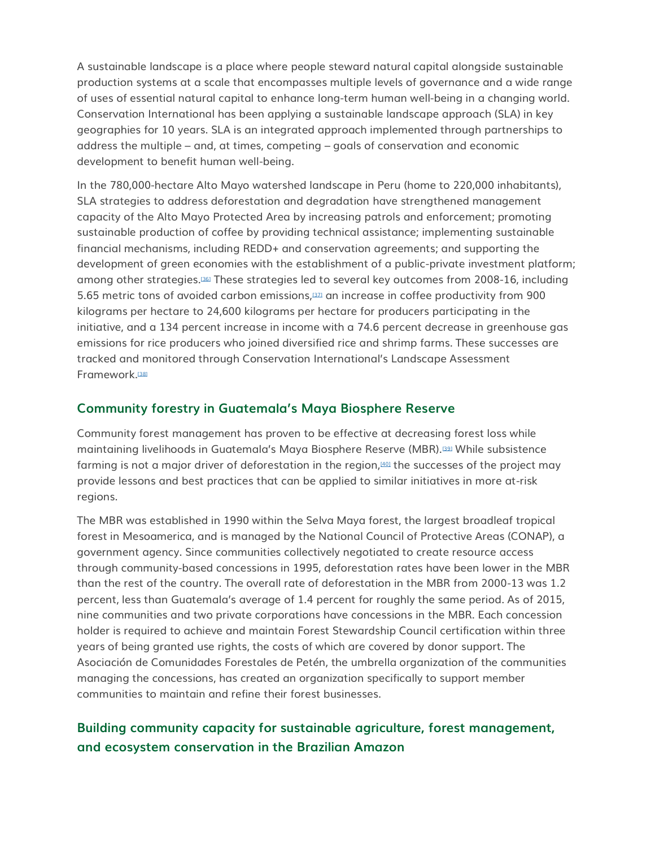A sustainable landscape is a place where people steward natural capital alongside sustainable production systems at a scale that encompasses multiple levels of governance and a wide range of uses of essential natural capital to enhance long-term human well-being in a changing world. Conservation International has been applying a sustainable landscape approach (SLA) in key geographies for 10 years. SLA is an integrated approach implemented through partnerships to address the multiple – and, at times, competing – goals of conservation and economic development to benefit human well-being.

In the 780,000-hectare Alto Mayo watershed landscape in Peru (home to 220,000 inhabitants), SLA strategies to address deforestation and degradation have strengthened management capacity of the Alto Mayo Protected Area by increasing patrols and enforcement; promoting sustainable production of coffee by providing technical assistance; implementing sustainable financial mechanisms, including REDD+ and conservation agreements; and supporting the development of green economies with the establishment of a public-private investment platform; among other strategies.[\[36\]](http://forestdeclaration.org/goal/goal-4/#_edn36) These strategies led to several key outcomes from 2008-16, including 5.65 metric tons of avoided carbon emissions, $[37]$  an increase in coffee productivity from 900 kilograms per hectare to 24,600 kilograms per hectare for producers participating in the initiative, and a 134 percent increase in income with a 74.6 percent decrease in greenhouse gas emissions for rice producers who joined diversified rice and shrimp farms. These successes are tracked and monitored through Conservation International's Landscape Assessment Framework<sup>1381</sup>

#### **Community forestry in Guatemala's Maya Biosphere Reserve**

Community forest management has proven to be effective at decreasing forest loss while maintaining livelihoods in Guatemala's Maya Biosphere Reserve (MBR).[\[39\]](http://forestdeclaration.org/goal/goal-4/#_edn39) While subsistence farming is not a major driver of deforestation in the region, $4001$  the successes of the project may provide lessons and best practices that can be applied to similar initiatives in more at-risk regions.

The MBR was established in 1990 within the Selva Maya forest, the largest broadleaf tropical forest in Mesoamerica, and is managed by the National Council of Protective Areas (CONAP), a government agency. Since communities collectively negotiated to create resource access through community-based concessions in 1995, deforestation rates have been lower in the MBR than the rest of the country. The overall rate of deforestation in the MBR from 2000-13 was 1.2 percent, less than Guatemala's average of 1.4 percent for roughly the same period. As of 2015, nine communities and two private corporations have concessions in the MBR. Each concession holder is required to achieve and maintain Forest Stewardship Council certification within three years of being granted use rights, the costs of which are covered by donor support. The Asociación de Comunidades Forestales de Petén, the umbrella organization of the communities managing the concessions, has created an organization specifically to support member communities to maintain and refine their forest businesses.

### **Building community capacity for sustainable agriculture, forest management, and ecosystem conservation in the Brazilian Amazon**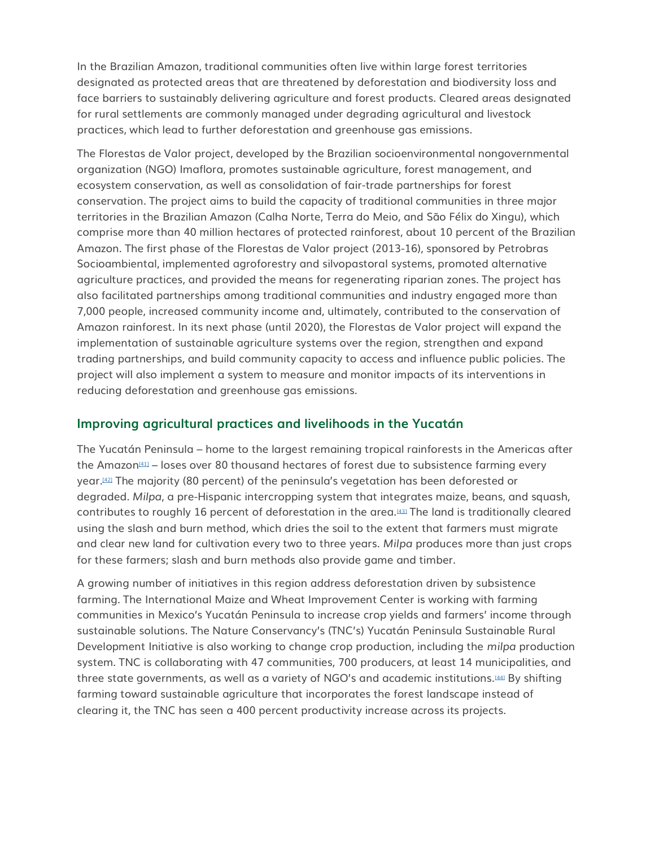In the Brazilian Amazon, traditional communities often live within large forest territories designated as protected areas that are threatened by deforestation and biodiversity loss and face barriers to sustainably delivering agriculture and forest products. Cleared areas designated for rural settlements are commonly managed under degrading agricultural and livestock practices, which lead to further deforestation and greenhouse gas emissions.

The Florestas de Valor project, developed by the Brazilian socioenvironmental nongovernmental organization (NGO) Imaflora, promotes sustainable agriculture, forest management, and ecosystem conservation, as well as consolidation of fair-trade partnerships for forest conservation. The project aims to build the capacity of traditional communities in three major territories in the Brazilian Amazon (Calha Norte, Terra do Meio, and São Félix do Xingu), which comprise more than 40 million hectares of protected rainforest, about 10 percent of the Brazilian Amazon. The first phase of the Florestas de Valor project (2013-16), sponsored by Petrobras Socioambiental, implemented agroforestry and silvopastoral systems, promoted alternative agriculture practices, and provided the means for regenerating riparian zones. The project has also facilitated partnerships among traditional communities and industry engaged more than 7,000 people, increased community income and, ultimately, contributed to the conservation of Amazon rainforest. In its next phase (until 2020), the Florestas de Valor project will expand the implementation of sustainable agriculture systems over the region, strengthen and expand trading partnerships, and build community capacity to access and influence public policies. The project will also implement a system to measure and monitor impacts of its interventions in reducing deforestation and greenhouse gas emissions.

#### **Improving agricultural practices and livelihoods in the Yucatán**

The Yucatán Peninsula – home to the largest remaining tropical rainforests in the Americas after the Amazon<sup>[\[41\]](http://forestdeclaration.org/goal/goal-4/#_edn41)</sup> – loses over 80 thousand hectares of forest due to subsistence farming every year.[\[42\]](http://forestdeclaration.org/goal/goal-4/#_edn42) The majority (80 percent) of the peninsula's vegetation has been deforested or degraded. *Milpa*, a pre-Hispanic intercropping system that integrates maize, beans, and squash, contributes to roughly 16 percent of deforestation in the area.[\[43\]](http://forestdeclaration.org/goal/goal-4/#_edn43) The land is traditionally cleared using the slash and burn method, which dries the soil to the extent that farmers must migrate and clear new land for cultivation every two to three years. *Milpa* produces more than just crops for these farmers; slash and burn methods also provide game and timber.

A growing number of initiatives in this region address deforestation driven by subsistence farming. The International Maize and Wheat Improvement Center is working with farming communities in Mexico's Yucatán Peninsula to increase crop yields and farmers' income through sustainable solutions. The Nature Conservancy's (TNC's) Yucatán Peninsula Sustainable Rural Development Initiative is also working to change crop production, including the *milpa* production system. TNC is collaborating with 47 communities, 700 producers, at least 14 municipalities, and three state governments, as well as a variety of NGO's and academic institutions.[\[44\]](http://forestdeclaration.org/goal/goal-4/#_edn44) By shifting farming toward sustainable agriculture that incorporates the forest landscape instead of clearing it, the TNC has seen a 400 percent productivity increase across its projects.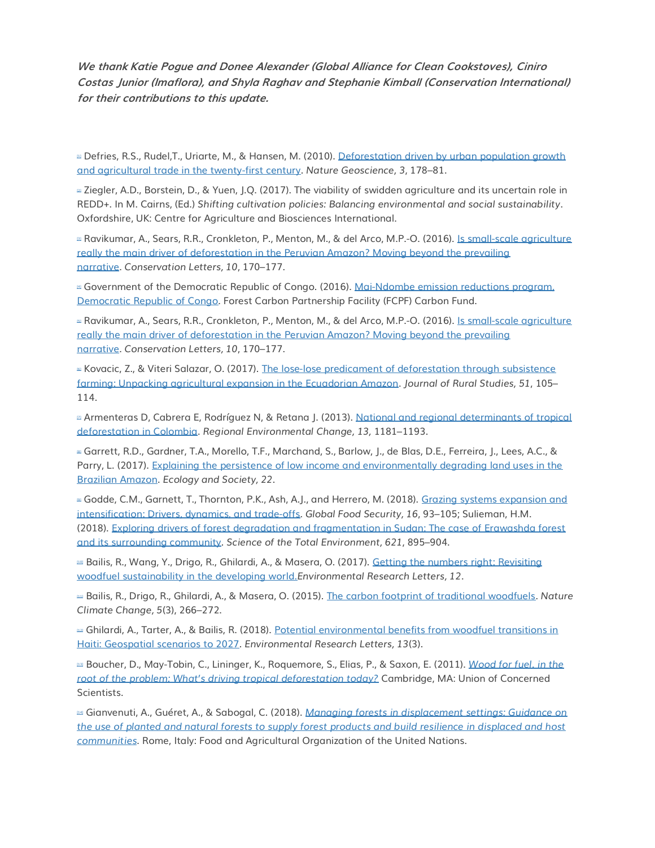**We thank Katie Pogue and Donee Alexander (Global Alliance for Clean Cookstoves), Ciniro Costas Junior (Imaflora), and Shyla Raghav and Stephanie Kimball (Conservation International) for their contributions to this update.**

<sup>III</sup> Defries, R.S., Rudel,T., Uriarte, M., & Hansen, M. (2010). Deforestation driven by urban population growth [and agricultural trade in the twenty-first century.](https://doi.org/10.1038/NGEO756) *Nature Geoscience, 3*, 178–81.

[\[2\]](http://forestdeclaration.org/goal/goal-4/#_ednref2) Ziegler, A.D., Borstein, D., & Yuen, J.Q. (2017). The viability of swidden agriculture and its uncertain role in REDD+. In M. Cairns, (Ed.) *Shifting cultivation policies: Balancing environmental and social sustainability*. Oxfordshire, UK: Centre for Agriculture and Biosciences International.

[\[3\]](http://forestdeclaration.org/goal/goal-4/#_ednref3) Ravikumar, A., Sears, R.R., Cronkleton, P., Menton, M., & del Arco, M.P.-O. (2016). [Is small-scale agriculture](https://www.cifor.org/library/6123/is-small-scale-agriculture-really-the-main-driver-of-deforestation-in-the-peruvian-amazon-moving-beyond-the-prevailing-narrative/)  [really the main driver of deforestation in the Peruvian Amazon? Moving beyond the prevailing](https://www.cifor.org/library/6123/is-small-scale-agriculture-really-the-main-driver-of-deforestation-in-the-peruvian-amazon-moving-beyond-the-prevailing-narrative/)  [narrative.](https://www.cifor.org/library/6123/is-small-scale-agriculture-really-the-main-driver-of-deforestation-in-the-peruvian-amazon-moving-beyond-the-prevailing-narrative/) *Conservation Letters, 10*, 170–177.

[\[4\]](http://forestdeclaration.org/goal/goal-4/#_ednref4) Government of the Democratic Republic of Congo. (2016). [Mai-Ndombe emission reductions program,](https://www.forestcarbonpartnership.org/sites/fcp/files/2016/Dec/20161108%20Revised%20ERPD_DRC.pdf)  [Democratic Republic of Congo.](https://www.forestcarbonpartnership.org/sites/fcp/files/2016/Dec/20161108%20Revised%20ERPD_DRC.pdf) Forest Carbon Partnership Facility (FCPF) Carbon Fund.

D Ravikumar, A., Sears, R.R., Cronkleton, P., Menton, M., & del Arco, M.P.-O. (2016). Is small-scale agriculture really the main driver of deforestation in the [Peruvian Amazon? Moving beyond the prevailing](https://www.cifor.org/library/6123/is-small-scale-agriculture-really-the-main-driver-of-deforestation-in-the-peruvian-amazon-moving-beyond-the-prevailing-narrative/)  [narrative.](https://www.cifor.org/library/6123/is-small-scale-agriculture-really-the-main-driver-of-deforestation-in-the-peruvian-amazon-moving-beyond-the-prevailing-narrative/) *Conservation Letters, 10*, 170–177.

[\[6\]](http://forestdeclaration.org/goal/goal-4/#_ednref6) Kovacic, Z., & Viteri Salazar, O. (2017). [The lose-lose predicament of deforestation through subsistence](https://www.sciencedirect.com/science/article/pii/S0743016717300992)  [farming: Unpacking agricultural expansion in the Ecuadorian Amazon.](https://www.sciencedirect.com/science/article/pii/S0743016717300992) *Journal of Rural Studies, 51*, 105– 114.

[\[7\]](http://forestdeclaration.org/goal/goal-4/#_ednref7) Armenteras D, Cabrera E, Rodríguez N, & Retana J. (2013). [National and regional determinants of tropical](doi:%2010.1007/s10113-013-0433-7)  [deforestation in Colombia.](doi:%2010.1007/s10113-013-0433-7) *Regional Environmental Change, 13,* 1181–1193.

[\[8\]](http://forestdeclaration.org/goal/goal-4/#_ednref8) Garrett, R.D., Gardner, T.A., Morello, T.F., Marchand, S., Barlow, J., de Blas, D.E., Ferreira, J., Lees, A.C., & Parry, L. (2017). [Explaining the persistence of low income and environmentally degrading land uses in the](https://www.ecologyandsociety.org/vol22/iss3/art27/)  [Brazilian Amazon.](https://www.ecologyandsociety.org/vol22/iss3/art27/) *Ecology and Society, 22*.

■ Godde, C.M., Garnett, T., Thornton, P.K., Ash, A.J., and Herrero, M. (2018). Grazing systems expansion and [intensification: Drivers, dynamics, and trade-offs.](https://doi.org/10.1016/j.gfs.2017.11.003) *Global Food Security, 16*, 93–105; Sulieman, H.M. (2018). [Exploring drivers of forest degradation and fragmentation in Sudan: The case of Erawashda forest](https://doi.org/10.1016/j.scitotenv.2017.11.210)  [and its surrounding community.](https://doi.org/10.1016/j.scitotenv.2017.11.210) *Science of the Total Environment, 621*, 895–904.

[\[10\]](http://forestdeclaration.org/goal/goal-4/#_ednref10) Bailis, R., Wang, Y., Drigo, R., Ghilardi, A., & Masera, O. (2017). Getting the [numbers right: Revisiting](http://iopscience.iop.org/article/10.1088/1748-9326/aa83ed/pdf)  [woodfuel sustainability in the developing world.](http://iopscience.iop.org/article/10.1088/1748-9326/aa83ed/pdf)*Environmental Research Letters, 12*.

[\[11\]](http://forestdeclaration.org/goal/goal-4/#_ednref11) Bailis, R., Drigo, R., Ghilardi, A., & Masera, O. (2015). [The carbon footprint of traditional woodfuels.](https://www.nature.com/articles/nclimate2491) *Nature Climate Change, 5*(3), 266–272.

[\[12\]](http://forestdeclaration.org/goal/goal-4/#_ednref12) Ghilardi, A., Tarter, A., & Bailis, R. (2018). [Potential environmental benefits from woodfuel transitions in](http://iopscience.iop.org/article/10.1088/1748-9326/aaa846/meta)  [Haiti: Geospatial scenarios to 2027.](http://iopscience.iop.org/article/10.1088/1748-9326/aaa846/meta) *Environmental Research Letters, 13*(3).

[\[13\]](http://forestdeclaration.org/goal/goal-4/#_ednref13) Boucher, D., May-Tobin, C., Lininger, K., Roquemore, S., Elias, P., & Saxon, E. (2011). *[Wood for fuel. in the](https://www.ucsusa.org/sites/default/files/legacy/assets/documents/global_warming/UCS_DriversofDeforestation_Chap8_Woodfuel.pdf)  [root of the problem: What's driving tropical deforestation today?](https://www.ucsusa.org/sites/default/files/legacy/assets/documents/global_warming/UCS_DriversofDeforestation_Chap8_Woodfuel.pdf)* Cambridge, MA: Union of Concerned Scientists.

[\[14\]](http://forestdeclaration.org/goal/goal-4/#_ednref14) Gianvenuti, A., Guéret, A., & Sabogal, C. (2018). *[Managing forests in displacement settings: Guidance on](http://www.fao.org/publications/card/en/c/I8309EN)  [the use of planted and natural forests to supply forest products and build resilience in displaced and host](http://www.fao.org/publications/card/en/c/I8309EN)  [communities](http://www.fao.org/publications/card/en/c/I8309EN)*. Rome, Italy: Food and Agricultural Organization of the United Nations.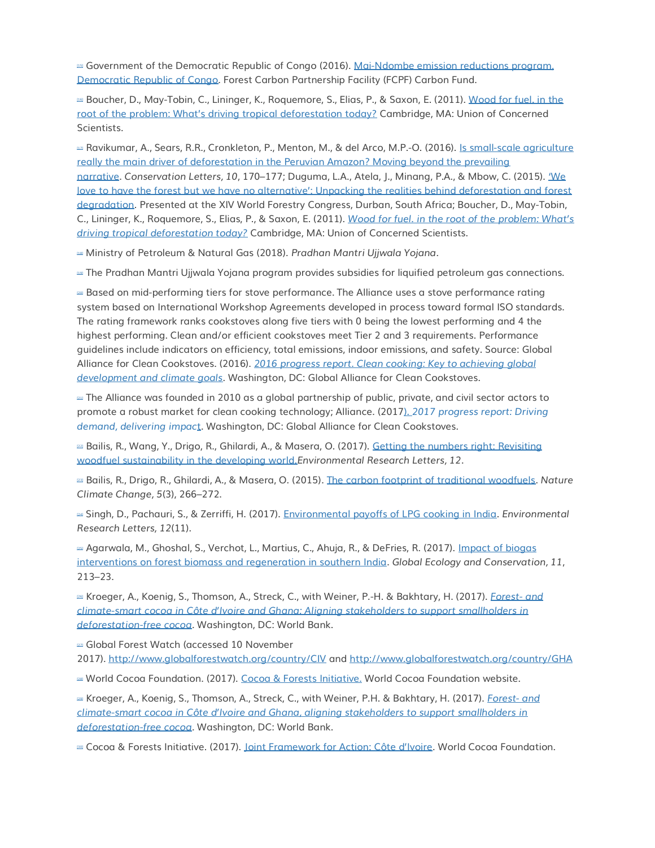[\[15\]](http://forestdeclaration.org/goal/goal-4/#_ednref15) Government of the Democratic Republic of Congo (2016). [Mai-Ndombe emission reductions program,](https://www.forestcarbonpartnership.org/sites/fcp/files/2016/Dec/20161108%20Revised%20ERPD_DRC.pdf)  [Democratic Republic of Congo.](https://www.forestcarbonpartnership.org/sites/fcp/files/2016/Dec/20161108%20Revised%20ERPD_DRC.pdf) Forest Carbon Partnership Facility (FCPF) Carbon Fund.

[\[16\]](http://forestdeclaration.org/goal/goal-4/#_ednref16) Boucher, D., May-Tobin, C., Lininger, K., Roquemore, S., Elias, P., & Saxon, E. (2011). [Wood for fuel. in the](https://www.ucsusa.org/sites/default/files/legacy/assets/documents/global_warming/UCS_DriversofDeforestation_Chap8_Woodfuel.pdf)  [root of the problem: What's driving tropical deforestation today?](https://www.ucsusa.org/sites/default/files/legacy/assets/documents/global_warming/UCS_DriversofDeforestation_Chap8_Woodfuel.pdf) Cambridge, MA: Union of Concerned Scientists.

[\[17\]](http://forestdeclaration.org/goal/goal-4/#_ednref17) Ravikumar, A., Sears, R.R., Cronkleton, P., Menton, M., & del Arco, M.P.-O. (2016). [Is small-scale agriculture](https://www.cifor.org/library/6123/is-small-scale-agriculture-really-the-main-driver-of-deforestation-in-the-peruvian-amazon-moving-beyond-the-prevailing-narrative/)  [really the main driver of deforestation in the Peruvian Amazon? Moving beyond the prevailing](https://www.cifor.org/library/6123/is-small-scale-agriculture-really-the-main-driver-of-deforestation-in-the-peruvian-amazon-moving-beyond-the-prevailing-narrative/)  [narrative.](https://www.cifor.org/library/6123/is-small-scale-agriculture-really-the-main-driver-of-deforestation-in-the-peruvian-amazon-moving-beyond-the-prevailing-narrative/) *Conservation Letters, 10*, 170–177; Duguma, L.A., Atela, J., Minang, P.A., & Mbow, C. (2015). ['We](https://www.researchgate.net/publication/280136102_)  [love to have the forest but we have no alternative': Unpacking the realities behind deforestation and forest](https://www.researchgate.net/publication/280136102_)  [degradation.](https://www.researchgate.net/publication/280136102_) Presented at the XIV World Forestry Congress, Durban, South Africa; Boucher, D., May-Tobin, C., Lininger, K., Roquemore, S., Elias, P., & Saxon, E. (2011). *[Wood for fuel. in the root of the problem: What's](https://www.ucsusa.org/sites/default/files/legacy/assets/documents/global_warming/UCS_DriversofDeforestation_Chap8_Woodfuel.pdf)  [driving tropical deforestation today?](https://www.ucsusa.org/sites/default/files/legacy/assets/documents/global_warming/UCS_DriversofDeforestation_Chap8_Woodfuel.pdf)* Cambridge, MA: Union of Concerned Scientists.

[\[18\]](http://forestdeclaration.org/goal/goal-4/#_ednref18) Ministry of Petroleum & Natural Gas (2018). *Pradhan Mantri Ujjwala Yojana*.

[\[19\]](http://forestdeclaration.org/goal/goal-4/#_ednref19) The Pradhan Mantri Ujjwala Yojana program provides subsidies for liquified petroleum gas connections.

[\[20\]](http://forestdeclaration.org/goal/goal-4/#_ednref20) Based on mid-performing tiers for stove performance. The Alliance uses a stove performance rating system based on International Workshop Agreements developed in process toward formal ISO standards. The rating framework ranks cookstoves along five tiers with 0 being the lowest performing and 4 the highest performing. Clean and/or efficient cookstoves meet Tier 2 and 3 requirements. Performance guidelines include indicators on efficiency, total emissions, indoor emissions, and safety. Source: Global Alliance for Clean Cookstoves. (2016). *[2016 progress report. Clean cooking: Key to achieving global](http://cleancookstoves.org/resources/495.html)  [development and climate goals](http://cleancookstoves.org/resources/495.html)*. Washington, DC: Global Alliance for Clean Cookstoves.

[\[21\]](http://forestdeclaration.org/goal/goal-4/#_ednref21) The Alliance was founded in 2010 as a global partnership of public, private, and civil sector actors to promote a robust market for clean cooking technology; Alliance. (2017). *[2017 progress report: Driving](https://cleancookstoves.org/binary-data/RESOURCE/file/000/000/536-1.pdf)  [demand, delivering impac](https://cleancookstoves.org/binary-data/RESOURCE/file/000/000/536-1.pdf)*t. Washington, DC: Global Alliance for Clean Cookstoves.

[\[22\]](http://forestdeclaration.org/goal/goal-4/#_ednref22) Bailis, R., Wang, Y., Drigo, R., Ghilardi, A., & Masera, O. (2017). [Getting the numbers right: Revisiting](http://iopscience.iop.org/article/10.1088/1748-9326/aa83ed/pdf)  [woodfuel sustainability in the developing world.](http://iopscience.iop.org/article/10.1088/1748-9326/aa83ed/pdf)*Environmental Research Letters, 12*.

[\[23\]](http://forestdeclaration.org/goal/goal-4/#_ednref23) Bailis, R., Drigo, R., Ghilardi, A., & Masera, O. (2015). [The carbon footprint of traditional woodfuels.](https://www.nature.com/articles/nclimate2491) *Nature Climate Change, 5*(3), 266–272.

[\[24\]](http://forestdeclaration.org/goal/goal-4/#_ednref24) Singh, D., Pachauri, S., & Zerriffi, H. (2017). [Environmental payoffs of LPG cooking in India.](http://iopscience.iop.org/article/10.1088/1748-9326/aa909d) *Environmental Research Letters, 12*(11).

Las Agarwala, M., Ghoshal, S., Verchot, L., Martius, C., Ahuja, R., & DeFries, R. (2017). Impact of biogas [interventions on forest biomass and regeneration in southern India.](https://www.sciencedirect.com/science/article/pii/S2351989417301142) *Global Ecology and Conservation, 11*, 213–23.

[\[26\]](http://forestdeclaration.org/goal/goal-4/#_ednref26) Kroeger, A., Koenig, S., Thomson, A., Streck, C., with Weiner, P.-H. & Bakhtary, H. (2017). *[Forest-](https://openknowledge.worldbank.org/bitstream/handle/10986/29014/122086.pdf) and climate-[smart cocoa in Côte d'Ivoire and Ghana: Aligning stakeholders to support smallholders in](https://openknowledge.worldbank.org/bitstream/handle/10986/29014/122086.pdf)  [deforestation-free cocoa.](https://openknowledge.worldbank.org/bitstream/handle/10986/29014/122086.pdf)* Washington, DC: World Bank.

**221** Global Forest Watch (accessed 10 November

2017). <http://www.globalforestwatch.org/country/CIV> and <http://www.globalforestwatch.org/country/GHA>

[\[28\]](http://forestdeclaration.org/goal/goal-4/#_ednref28) World Cocoa Foundation. (2017). [Cocoa & Forests Initiative.](http://www.worldcocoafoundation.org/cocoa-forests-initiative/) World Cocoa Foundation website.

[\[29\]](http://forestdeclaration.org/goal/goal-4/#_ednref29) Kroeger, A., Koenig, S., Thomson, A., Streck, C., with Weiner, P.H. & Bakhtary, H. (2017). *[Forest-](https://openknowledge.worldbank.org/bitstream/handle/10986/29014/122086.pdf) and climate-[smart cocoa in Côte d'Ivoire and Ghana, aligning stakeholders to support smallholders in](https://openknowledge.worldbank.org/bitstream/handle/10986/29014/122086.pdf)  [deforestation-free cocoa.](https://openknowledge.worldbank.org/bitstream/handle/10986/29014/122086.pdf)* Washington, DC: World Bank.

[\[30\]](http://forestdeclaration.org/goal/goal-4/#_ednref30) Cocoa & Forests Initiative. (2017). [Joint Framework for Action: Côte d'Ivoire](http://www.worldcocoafoundation.org/wp-content/uploads/CDI-Framework_English-1.pdf). World Cocoa Foundation.